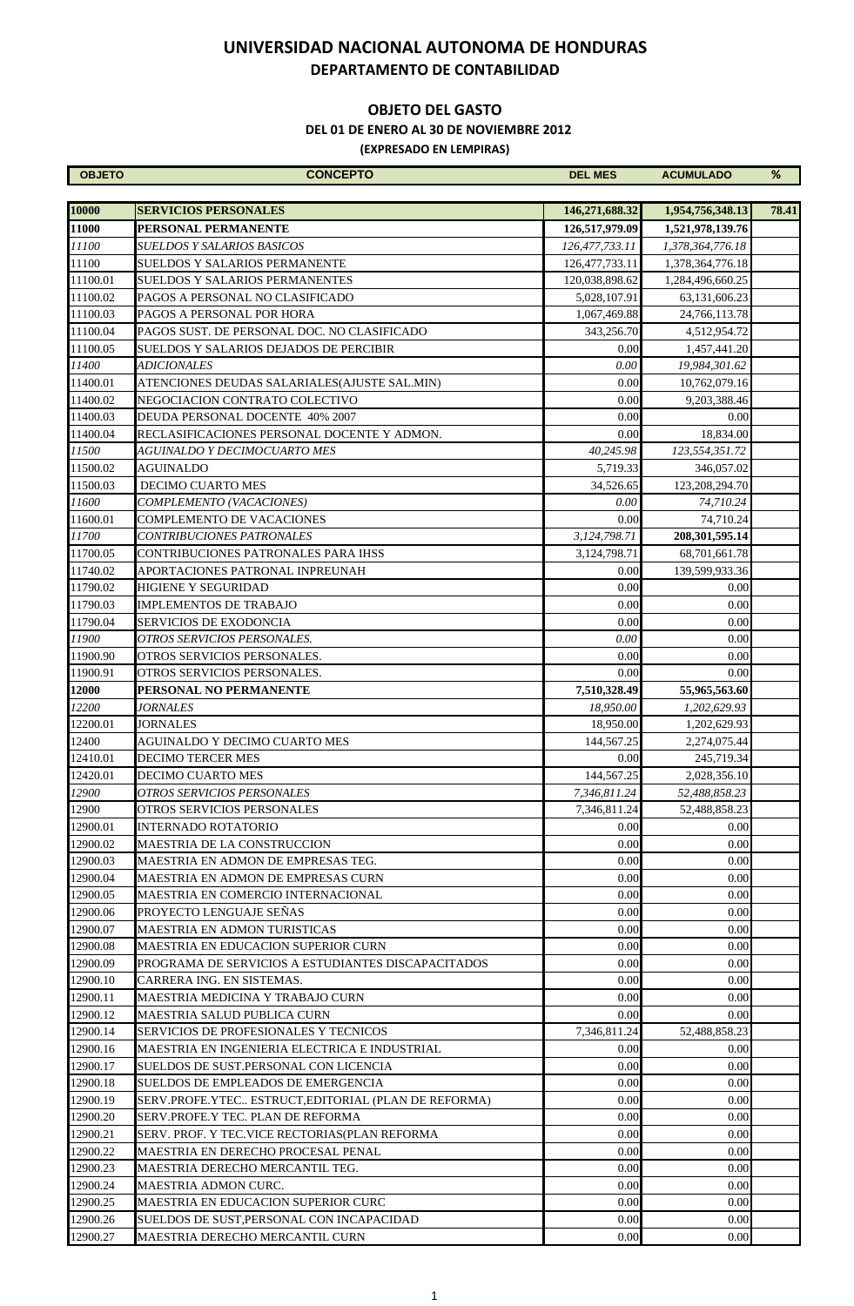#### **OBJETO DEL GASTO**

 **DEL 01 DE ENERO AL 30 DE NOVIEMBRE 2012**

| <b>OBJETO</b>        | <b>CONCEPTO</b>                                              | <b>DEL MES</b>               | <b>ACUMULADO</b>               | $\%$  |
|----------------------|--------------------------------------------------------------|------------------------------|--------------------------------|-------|
|                      |                                                              |                              |                                |       |
| 10000                | <b>SERVICIOS PERSONALES</b>                                  | 146,271,688.32               | 1,954,756,348.13               | 78.41 |
| 11000                | PERSONAL PERMANENTE                                          | 126,517,979.09               | 1,521,978,139.76               |       |
| 11100                | SUELDOS Y SALARIOS BASICOS                                   | 126,477,733.11               | 1,378,364,776.18               |       |
| 11100                | SUELDOS Y SALARIOS PERMANENTE                                | 126, 477, 733. 11            | 1,378,364,776.18               |       |
| 11100.01             | SUELDOS Y SALARIOS PERMANENTES                               | 120,038,898.62               | 1,284,496,660.25               |       |
| 11100.02<br>11100.03 | PAGOS A PERSONAL NO CLASIFICADO<br>PAGOS A PERSONAL POR HORA | 5,028,107.91<br>1,067,469.88 | 63,131,606.23<br>24,766,113.78 |       |
| 11100.04             | PAGOS SUST. DE PERSONAL DOC. NO CLASIFICADO                  | 343,256.70                   | 4,512,954.72                   |       |
| 11100.05             | SUELDOS Y SALARIOS DEJADOS DE PERCIBIR                       | 0.00                         | 1,457,441.20                   |       |
| 11400                | <b>ADICIONALES</b>                                           | 0.00                         | 19,984,301.62                  |       |
| 11400.01             | ATENCIONES DEUDAS SALARIALES(AJUSTE SAL.MIN)                 | 0.00                         | 10,762,079.16                  |       |
| 11400.02             | NEGOCIACION CONTRATO COLECTIVO                               | 0.00                         | 9,203,388.46                   |       |
| 11400.03             | DEUDA PERSONAL DOCENTE 40% 2007                              | 0.00                         | 0.00                           |       |
| 11400.04             | RECLASIFICACIONES PERSONAL DOCENTE Y ADMON.                  | 0.00                         | 18,834.00                      |       |
| 11500                | AGUINALDO Y DECIMOCUARTO MES                                 | 40,245.98                    | 123,554,351.72                 |       |
| 11500.02             | AGUINALDO                                                    | 5,719.33                     | 346,057.02                     |       |
| 11500.03             | <b>DECIMO CUARTO MES</b>                                     | 34.526.65                    | 123,208,294.70                 |       |
| 11600                | COMPLEMENTO (VACACIONES)                                     | 0.00                         | 74,710.24                      |       |
| 11600.01             | COMPLEMENTO DE VACACIONES                                    | 0.00                         | 74,710.24                      |       |
| 11700                | <i>CONTRIBUCIONES PATRONALES</i>                             | 3,124,798.71                 | 208, 301, 595.14               |       |
| 11700.05             | CONTRIBUCIONES PATRONALES PARA IHSS                          | 3.124.798.71                 | 68,701,661.78                  |       |
| 11740.02             | APORTACIONES PATRONAL INPREUNAH                              | 0.00                         | 139,599,933.36                 |       |
| 11790.02             | HIGIENE Y SEGURIDAD                                          | 0.00                         | 0.00                           |       |
| 11790.03             | IMPLEMENTOS DE TRABAJO                                       | 0.00                         | 0.00                           |       |
| 11790.04             | SERVICIOS DE EXODONCIA                                       | 0.00                         | 0.00                           |       |
| 11900                | OTROS SERVICIOS PERSONALES.                                  | 0.00                         | 0.00                           |       |
| 11900.90             | OTROS SERVICIOS PERSONALES.                                  | 0.00                         | 0.00                           |       |
| 11900.91             | OTROS SERVICIOS PERSONALES.                                  | 0.00                         | 0.00                           |       |
| 12000                | PERSONAL NO PERMANENTE                                       | 7,510,328.49                 | 55,965,563.60                  |       |
| 12200                | <i><b>JORNALES</b></i>                                       | 18.950.00                    | 1,202,629.93                   |       |
| 12200.01             | JORNALES                                                     | 18,950.00                    | 1,202,629.93                   |       |
| 12400                | AGUINALDO Y DECIMO CUARTO MES                                | 144,567.25                   | 2,274,075.44                   |       |
| 12410.01             | <b>DECIMO TERCER MES</b>                                     | 0.00                         | 245,719.34                     |       |
| 12420.01             | DECIMO CUARTO MES                                            | 144,567.25                   | 2,028,356.10                   |       |
| 12900                | OTROS SERVICIOS PERSONALES                                   | 7,346,811.24                 | 52,488,858.23                  |       |
| 12900<br>12900.01    | OTROS SERVICIOS PERSONALES                                   | 7,346,811.24<br>0.00         | 52.488.858.23                  |       |
| 12900.02             | INTERNADO ROTATORIO<br>MAESTRIA DE LA CONSTRUCCION           | 0.00                         | 0.00<br>0.00                   |       |
| 12900.03             | MAESTRIA EN ADMON DE EMPRESAS TEG.                           | 0.00                         | 0.00                           |       |
| 12900.04             | MAESTRIA EN ADMON DE EMPRESAS CURN                           | 0.00                         | 0.00                           |       |
| 12900.05             | MAESTRIA EN COMERCIO INTERNACIONAL                           | 0.00                         | 0.00                           |       |
| 12900.06             | PROYECTO LENGUAJE SEÑAS                                      | 0.00                         | 0.00                           |       |
| 12900.07             | MAESTRIA EN ADMON TURISTICAS                                 | 0.00                         | 0.00                           |       |
| 12900.08             | MAESTRIA EN EDUCACION SUPERIOR CURN                          | 0.00                         | 0.00                           |       |
| 12900.09             | PROGRAMA DE SERVICIOS A ESTUDIANTES DISCAPACITADOS           | 0.00                         | 0.00                           |       |
| 12900.10             | CARRERA ING. EN SISTEMAS.                                    | 0.00                         | 0.00                           |       |
| 12900.11             | MAESTRIA MEDICINA Y TRABAJO CURN                             | 0.00                         | 0.00                           |       |
| 12900.12             | MAESTRIA SALUD PUBLICA CURN                                  | 0.00                         | 0.00                           |       |
| 12900.14             | SERVICIOS DE PROFESIONALES Y TECNICOS                        | 7,346,811.24                 | 52,488,858.23                  |       |
| 12900.16             | MAESTRIA EN INGENIERIA ELECTRICA E INDUSTRIAL                | 0.00                         | 0.00                           |       |
| 12900.17             | SUELDOS DE SUST.PERSONAL CON LICENCIA                        | 0.00                         | 0.00                           |       |
| 12900.18             | SUELDOS DE EMPLEADOS DE EMERGENCIA                           | 0.00                         | 0.00                           |       |
| 12900.19             | SERV.PROFE.YTEC ESTRUCT,EDITORIAL (PLAN DE REFORMA)          | 0.00                         | 0.00                           |       |
| 12900.20             | SERV.PROFE.Y TEC. PLAN DE REFORMA                            | 0.00                         | 0.00                           |       |
| 12900.21             | SERV. PROF. Y TEC.VICE RECTORIAS(PLAN REFORMA                | 0.00                         | 0.00                           |       |
| 12900.22             | MAESTRIA EN DERECHO PROCESAL PENAL                           | 0.00                         | 0.00                           |       |
| 12900.23             | MAESTRIA DERECHO MERCANTIL TEG.                              | 0.00                         | 0.00                           |       |
| 12900.24             | MAESTRIA ADMON CURC.                                         | 0.00                         | 0.00                           |       |
| 12900.25             | MAESTRIA EN EDUCACION SUPERIOR CURC                          | 0.00                         | 0.00                           |       |
| 12900.26             | SUELDOS DE SUST, PERSONAL CON INCAPACIDAD                    | 0.00                         | 0.00                           |       |
| 12900.27             | MAESTRIA DERECHO MERCANTIL CURN                              | 0.00                         | 0.00                           |       |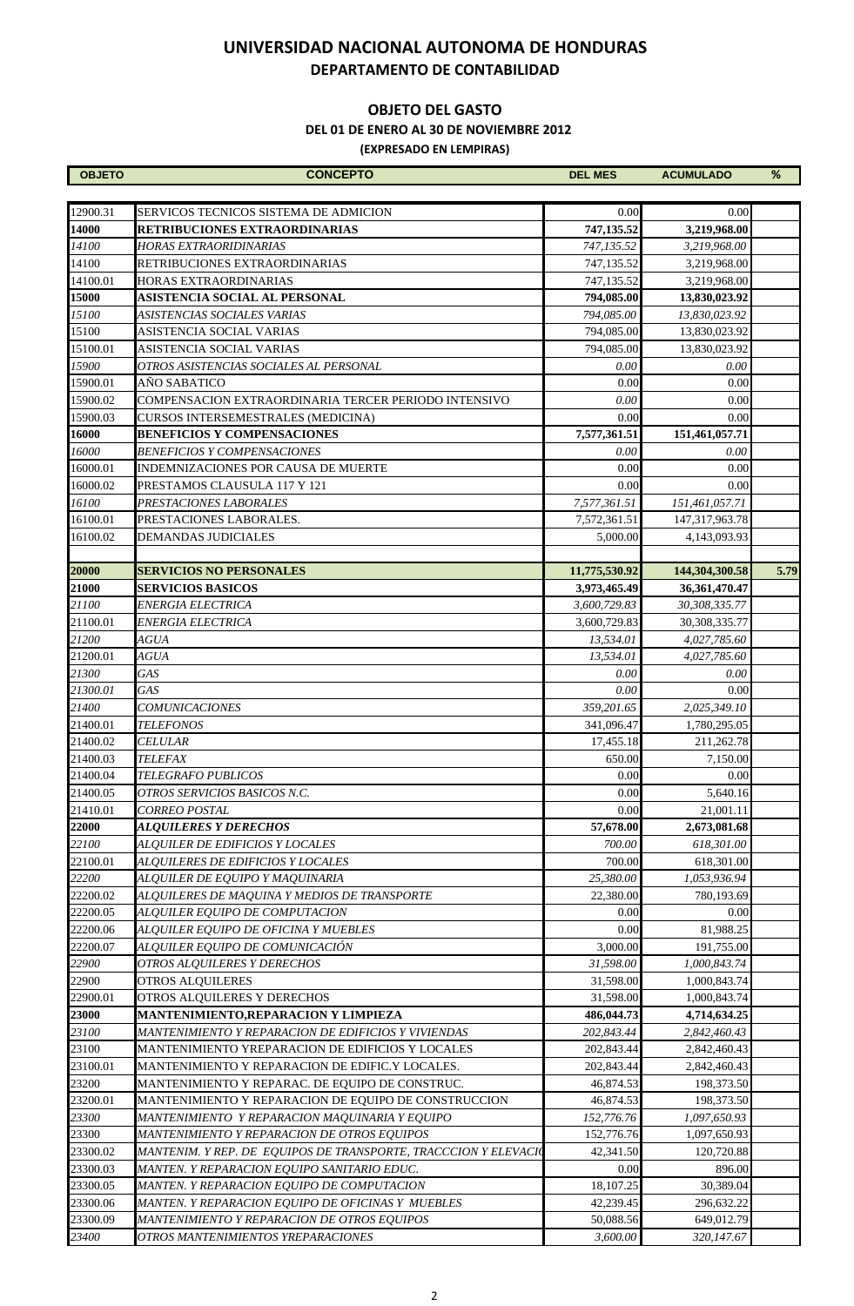#### **OBJETO DEL GASTO**

 **DEL 01 DE ENERO AL 30 DE NOVIEMBRE 2012**

| <b>OBJETO</b>        | <b>CONCEPTO</b>                                                 | <b>DEL MES</b>      | <b>ACUMULADO</b>           | %    |
|----------------------|-----------------------------------------------------------------|---------------------|----------------------------|------|
|                      |                                                                 |                     |                            |      |
| 12900.31             | SERVICOS TECNICOS SISTEMA DE ADMICION                           | 0.00                | 0.00                       |      |
| 14000                | <b>RETRIBUCIONES EXTRAORDINARIAS</b>                            | 747,135.52          | 3,219,968.00               |      |
| 14100                | HORAS EXTRAORIDINARIAS                                          | 747.135.52          | 3,219,968.00               |      |
| 14100                | RETRIBUCIONES EXTRAORDINARIAS                                   | 747,135.52          | 3,219,968.00               |      |
| 14100.01             | HORAS EXTRAORDINARIAS                                           | 747,135.52          | 3,219,968.00               |      |
| 15000                | ASISTENCIA SOCIAL AL PERSONAL                                   | 794,085.00          | 13,830,023.92              |      |
| 15100                | ASISTENCIAS SOCIALES VARIAS                                     | 794,085.00          | 13,830,023.92              |      |
| 15100                | ASISTENCIA SOCIAL VARIAS                                        | 794,085.00          | 13,830,023.92              |      |
| 15100.01             | ASISTENCIA SOCIAL VARIAS                                        | 794,085.00          | 13,830,023.92              |      |
| 15900                | OTROS ASISTENCIAS SOCIALES AL PERSONAL                          | 0.00                | 0.00                       |      |
| 15900.01             | ANO SABATICO                                                    | 0.00                | 0.00                       |      |
| 15900.02             | COMPENSACION EXTRAORDINARIA TERCER PERIODO INTENSIVO            | 0.00                | 0.00                       |      |
| 15900.03             | CURSOS INTERSEMESTRALES (MEDICINA)                              | 0.00                | 0.00                       |      |
| 16000                | <b>BENEFICIOS Y COMPENSACIONES</b>                              | 7,577,361.51        | 151,461,057.71             |      |
| 16000                | <b>BENEFICIOS Y COMPENSACIONES</b>                              | 0.00                | 0.00                       |      |
| 16000.01             | INDEMNIZACIONES POR CAUSA DE MUERTE                             | 0.00                | 0.00                       |      |
| 16000.02             | PRESTAMOS CLAUSULA 117 Y 121                                    | 0.00                | 0.00                       |      |
| 16100                | PRESTACIONES LABORALES                                          | 7,577,361.51        | 151,461,057.71             |      |
| 16100.01             | PRESTACIONES LABORALES.                                         | 7,572,361.51        | 147,317,963.78             |      |
|                      | DEMANDAS JUDICIALES                                             |                     |                            |      |
| 16100.02             |                                                                 | 5,000.00            | 4,143,093.93               |      |
| 20000                | <b>SERVICIOS NO PERSONALES</b>                                  | 11,775,530.92       | 144,304,300.58             | 5.79 |
| 21000                | <b>SERVICIOS BASICOS</b>                                        | 3,973,465.49        | 36, 361, 470. 47           |      |
| 21100                | ENERGIA ELECTRICA                                               | 3,600,729.83        | 30,308,335.77              |      |
| 21100.01             | ENERGIA ELECTRICA                                               | 3,600,729.83        | 30,308,335.77              |      |
| 21200                | <b>AGUA</b>                                                     | 13,534.01           | 4,027,785.60               |      |
| 21200.01             | <b>AGUA</b>                                                     | 13,534.01           | 4,027,785.60               |      |
| 21300                | <b>GAS</b>                                                      |                     |                            |      |
|                      | <b>GAS</b>                                                      | 0.00                | 0.00                       |      |
| 21300.01<br>21400    | <b>COMUNICACIONES</b>                                           | 0.00<br>359,201.65  | 0.00<br>2,025,349.10       |      |
| 21400.01             |                                                                 |                     |                            |      |
|                      | <b>TELEFONOS</b>                                                | 341,096.47          | 1,780,295.05<br>211,262.78 |      |
| 21400.02<br>21400.03 | <b>CELULAR</b><br>TELEFAX                                       | 17,455.18<br>650.00 | 7,150.00                   |      |
|                      | TELEGRAFO PUBLICOS                                              |                     |                            |      |
| 21400.04<br>21400.05 |                                                                 | 0.00<br>0.00        | 0.00<br>5,640.16           |      |
|                      | OTROS SERVICIOS BASICOS N.C.                                    | 0.00                |                            |      |
| 21410.01             | CORREO POSTAL                                                   |                     | 21,001.11                  |      |
| 22000                | <b>ALQUILERES Y DERECHOS</b>                                    | 57,678.00           | 2,673,081.68               |      |
| 22100                | ALQUILER DE EDIFICIOS Y LOCALES                                 | 700.00              | 618,301.00                 |      |
| 22100.01             | ALQUILERES DE EDIFICIOS Y LOCALES                               | 700.00              | 618,301.00                 |      |
| 22200                | ALQUILER DE EQUIPO Y MAQUINARIA                                 | 25,380.00           | 1,053,936.94               |      |
| 22200.02             | ALQUILERES DE MAQUINA Y MEDIOS DE TRANSPORTE                    | 22,380.00           | 780,193.69                 |      |
| 22200.05             | ALQUILER EQUIPO DE COMPUTACION                                  | 0.00                | 0.00                       |      |
| 22200.06             | ALQUILER EQUIPO DE OFICINA Y MUEBLES                            | 0.00                | 81,988.25                  |      |
| 22200.07             | ALQUILER EQUIPO DE COMUNICACIÓN                                 | 3,000.00            | 191,755.00                 |      |
| 22900                | OTROS ALQUILERES Y DERECHOS                                     | 31,598.00           | 1,000,843.74               |      |
| 22900                | <b>OTROS ALQUILERES</b>                                         | 31,598.00           | 1,000,843.74               |      |
| 22900.01             | OTROS ALQUILERES Y DERECHOS                                     | 31,598.00           | 1,000,843.74               |      |
| 23000                | MANTENIMIENTO,REPARACION Y LIMPIEZA                             | 486,044.73          | 4,714,634.25               |      |
| 23100                | MANTENIMIENTO Y REPARACION DE EDIFICIOS Y VIVIENDAS             | 202,843.44          | 2,842,460.43               |      |
| 23100                | MANTENIMIENTO YREPARACION DE EDIFICIOS Y LOCALES                | 202,843.44          | 2,842,460.43               |      |
| 23100.01             | MANTENIMIENTO Y REPARACION DE EDIFIC.Y LOCALES.                 | 202,843.44          | 2,842,460.43               |      |
| 23200                | MANTENIMIENTO Y REPARAC. DE EQUIPO DE CONSTRUC.                 | 46,874.53           | 198,373.50                 |      |
| 23200.01             | MANTENIMIENTO Y REPARACION DE EQUIPO DE CONSTRUCCION            | 46,874.53           | 198,373.50                 |      |
| 23300                | MANTENIMIENTO Y REPARACION MAQUINARIA Y EQUIPO                  | 152,776.76          | 1,097,650.93               |      |
| 23300                | MANTENIMIENTO Y REPARACION DE OTROS EQUIPOS                     | 152,776.76          | 1,097,650.93               |      |
| 23300.02             | MANTENIM. Y REP. DE EQUIPOS DE TRANSPORTE, TRACCCION Y ELEVACIO | 42,341.50           | 120,720.88                 |      |
| 23300.03             | MANTEN. Y REPARACION EQUIPO SANITARIO EDUC.                     | 0.00                | 896.00                     |      |
| 23300.05             | MANTEN. Y REPARACION EQUIPO DE COMPUTACION                      | 18,107.25           | 30,389.04                  |      |
| 23300.06             | MANTEN. Y REPARACION EQUIPO DE OFICINAS Y MUEBLES               | 42,239.45           | 296,632.22                 |      |
| 23300.09             | MANTENIMIENTO Y REPARACION DE OTROS EQUIPOS                     | 50,088.56           | 649,012.79                 |      |
| 23400                | OTROS MANTENIMIENTOS YREPARACIONES                              | 3,600.00            | 320,147.67                 |      |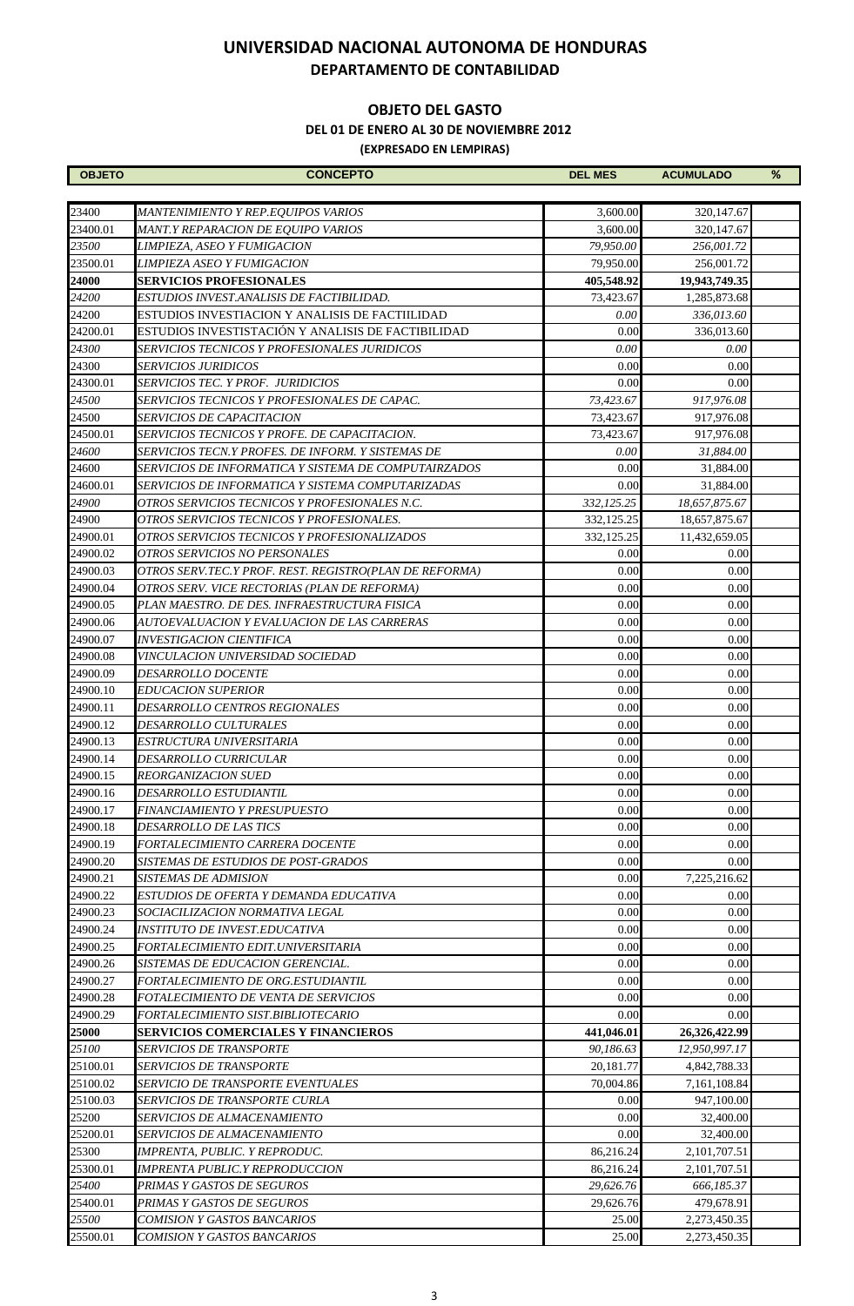#### **OBJETO DEL GASTO**

 **DEL 01 DE ENERO AL 30 DE NOVIEMBRE 2012**

| <b>OBJETO</b> | <b>CONCEPTO</b>                                        | <b>DEL MES</b> | <b>ACUMULADO</b> | % |
|---------------|--------------------------------------------------------|----------------|------------------|---|
|               |                                                        |                |                  |   |
| 23400         | MANTENIMIENTO Y REP.EQUIPOS VARIOS                     | 3,600.00       | 320,147.67       |   |
| 23400.01      | MANT.Y REPARACION DE EQUIPO VARIOS                     | 3,600.00       | 320, 147.67      |   |
| 23500         | LIMPIEZA, ASEO Y FUMIGACION                            | 79,950.00      | 256,001.72       |   |
| 23500.01      | LIMPIEZA ASEO Y FUMIGACION                             | 79,950.00      | 256,001.72       |   |
| 24000         | <b>SERVICIOS PROFESIONALES</b>                         | 405,548.92     | 19,943,749.35    |   |
| 24200         | ESTUDIOS INVEST.ANALISIS DE FACTIBILIDAD.              | 73,423.67      | 1,285,873.68     |   |
| 24200         | ESTUDIOS INVESTIACION Y ANALISIS DE FACTIILIDAD        | 0.00           | 336,013.60       |   |
| 24200.01      | ESTUDIOS INVESTISTACIÓN Y ANALISIS DE FACTIBILIDAD     | 0.00           | 336,013.60       |   |
| 24300         | SERVICIOS TECNICOS Y PROFESIONALES JURIDICOS           | 0.00           | 0.00             |   |
| 24300         | SERVICIOS JURIDICOS                                    | 0.00           | 0.00             |   |
| 24300.01      | SERVICIOS TEC. Y PROF. JURIDICIOS                      | 0.00           | 0.00             |   |
| 24500         | SERVICIOS TECNICOS Y PROFESIONALES DE CAPAC.           | 73,423.67      | 917,976.08       |   |
| 24500         | <i>SERVICIOS DE CAPACITACION</i>                       | 73,423.67      | 917,976.08       |   |
| 24500.01      | SERVICIOS TECNICOS Y PROFE. DE CAPACITACION.           | 73,423.67      | 917,976.08       |   |
| 24600         | SERVICIOS TECN.Y PROFES. DE INFORM. Y SISTEMAS DE      | 0.00           | 31,884.00        |   |
| 24600         | SERVICIOS DE INFORMATICA Y SISTEMA DE COMPUTAIRZADOS   | 0.00           | 31,884.00        |   |
| 24600.01      | SERVICIOS DE INFORMATICA Y SISTEMA COMPUTARIZADAS      | 0.00           | 31,884.00        |   |
| 24900         | OTROS SERVICIOS TECNICOS Y PROFESIONALES N.C.          | 332,125.25     | 18,657,875.67    |   |
| 24900         | OTROS SERVICIOS TECNICOS Y PROFESIONALES.              | 332,125.25     | 18,657,875.67    |   |
| 24900.01      | OTROS SERVICIOS TECNICOS Y PROFESIONALIZADOS           | 332,125.25     | 11,432,659.05    |   |
| 24900.02      | OTROS SERVICIOS NO PERSONALES                          | 0.00           | 0.00             |   |
| 24900.03      | OTROS SERV.TEC.Y PROF. REST. REGISTRO(PLAN DE REFORMA) | 0.00           | 0.00             |   |
| 24900.04      | OTROS SERV. VICE RECTORIAS (PLAN DE REFORMA)           | 0.00           | 0.00             |   |
| 24900.05      | PLAN MAESTRO. DE DES. INFRAESTRUCTURA FISICA           | 0.00           | 0.00             |   |
| 24900.06      | AUTOEVALUACION Y EVALUACION DE LAS CARRERAS            | 0.00           | 0.00             |   |
| 24900.07      | INVESTIGACION CIENTIFICA                               | 0.00           | 0.00             |   |
| 24900.08      | VINCULACION UNIVERSIDAD SOCIEDAD                       | 0.00           | 0.00             |   |
| 24900.09      | <i><b>DESARROLLO DOCENTE</b></i>                       | 0.00           | 0.00             |   |
| 24900.10      | EDUCACION SUPERIOR                                     | 0.00           | 0.00             |   |
| 24900.11      | DESARROLLO CENTROS REGIONALES                          | 0.00           | 0.00             |   |
| 24900.12      | DESARROLLO CULTURALES                                  | 0.00           | 0.00             |   |
| 24900.13      | ESTRUCTURA UNIVERSITARIA                               | 0.00           | 0.00             |   |
| 24900.14      | DESARROLLO CURRICULAR                                  | 0.00           | 0.00             |   |
| 24900.15      | REORGANIZACION SUED                                    | 0.00           | 0.00             |   |
| 24900.16      | <i><b>DESARROLLO ESTUDIANTIL</b></i>                   | 0.00           | 0.00             |   |
| 24900.17      | FINANCIAMIENTO Y PRESUPUESTO                           | 0.00           | 0.00             |   |
| 24900.18      | <i><b>DESARROLLO DE LAS TICS</b></i>                   | 0.00           | 0.00             |   |
| 24900.19      | FORTALECIMIENTO CARRERA DOCENTE                        | 0.00           | 0.00             |   |
| 24900.20      | SISTEMAS DE ESTUDIOS DE POST-GRADOS                    | 0.00           | 0.00             |   |
| 24900.21      | SISTEMAS DE ADMISION                                   | 0.00           | 7,225,216.62     |   |
| 24900.22      | ESTUDIOS DE OFERTA Y DEMANDA EDUCATIVA                 | 0.00           | 0.00             |   |
| 24900.23      | SOCIACILIZACION NORMATIVA LEGAL                        | 0.00           | 0.00             |   |
| 24900.24      | INSTITUTO DE INVEST.EDUCATIVA                          | 0.00           | 0.00             |   |
| 24900.25      | FORTALECIMIENTO EDIT.UNIVERSITARIA                     | 0.00           | 0.00             |   |
| 24900.26      | SISTEMAS DE EDUCACION GERENCIAL.                       | 0.00           | 0.00             |   |
| 24900.27      | FORTALECIMIENTO DE ORG.ESTUDIANTIL                     | 0.00           | 0.00             |   |
| 24900.28      | <i>FOTALECIMIENTO DE VENTA DE SERVICIOS</i>            | 0.00           | 0.00             |   |
| 24900.29      | FORTALECIMIENTO SIST.BIBLIOTECARIO                     | 0.00           | 0.00             |   |
| 25000         | SERVICIOS COMERCIALES Y FINANCIEROS                    | 441,046.01     | 26,326,422.99    |   |
| 25100         | SERVICIOS DE TRANSPORTE                                | 90.186.63      | 12,950,997.17    |   |
| 25100.01      | SERVICIOS DE TRANSPORTE                                | 20,181.77      | 4,842,788.33     |   |
| 25100.02      | <i>SERVICIO DE TRANSPORTE EVENTUALES</i>               | 70,004.86      | 7,161,108.84     |   |
| 25100.03      | SERVICIOS DE TRANSPORTE CURLA                          | 0.00           | 947,100.00       |   |
| 25200         | <i>SERVICIOS DE ALMACENAMIENTO</i>                     | 0.00           | 32,400.00        |   |
| 25200.01      | <i>SERVICIOS DE ALMACENAMIENTO</i>                     | 0.00           | 32,400.00        |   |
| 25300         | IMPRENTA, PUBLIC. Y REPRODUC.                          | 86,216.24      | 2,101,707.51     |   |
| 25300.01      | IMPRENTA PUBLIC.Y REPRODUCCION                         | 86,216.24      | 2,101,707.51     |   |
| 25400         | PRIMAS Y GASTOS DE SEGUROS                             | 29,626.76      | 666,185.37       |   |
| 25400.01      | PRIMAS Y GASTOS DE SEGUROS                             | 29,626.76      | 479,678.91       |   |
| 25500         | COMISION Y GASTOS BANCARIOS                            | 25.00          | 2,273,450.35     |   |
| 25500.01      | COMISION Y GASTOS BANCARIOS                            | 25.00          | 2,273,450.35     |   |
|               |                                                        |                |                  |   |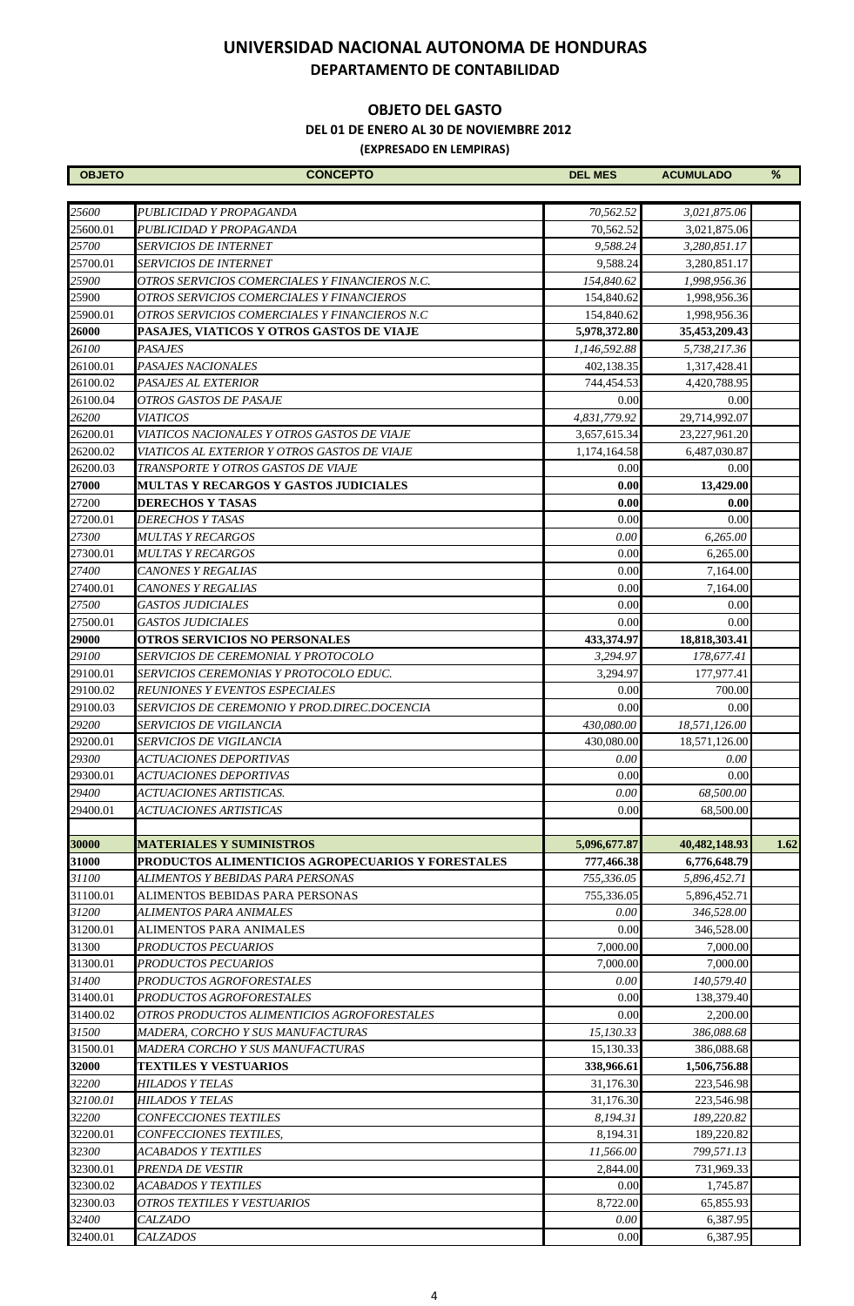#### **OBJETO DEL GASTO**

 **DEL 01 DE ENERO AL 30 DE NOVIEMBRE 2012**

| <b>OBJETO</b> | <b>CONCEPTO</b>                                   | <b>DEL MES</b>   | <b>ACUMULADO</b> | %    |
|---------------|---------------------------------------------------|------------------|------------------|------|
|               |                                                   |                  |                  |      |
| 25600         | PUBLICIDAD Y PROPAGANDA                           | 70,562.52        | 3,021,875.06     |      |
| 25600.01      | PUBLICIDAD Y PROPAGANDA                           | 70,562.52        | 3,021,875.06     |      |
| 25700         | <b>SERVICIOS DE INTERNET</b>                      | 9,588.24         | 3,280,851.17     |      |
| 25700.01      | <b>SERVICIOS DE INTERNET</b>                      | 9.588.24         | 3,280,851.17     |      |
| 25900         | OTROS SERVICIOS COMERCIALES Y FINANCIEROS N.C.    | 154,840.62       | 1,998,956.36     |      |
| 25900         | OTROS SERVICIOS COMERCIALES Y FINANCIEROS         | 154,840.62       | 1,998,956.36     |      |
| 25900.01      | OTROS SERVICIOS COMERCIALES Y FINANCIEROS N.C     | 154,840.62       | 1,998,956.36     |      |
| 26000         | PASAJES, VIATICOS Y OTROS GASTOS DE VIAJE         | 5,978,372.80     | 35,453,209.43    |      |
| 26100         | <b>PASAJES</b>                                    | 1,146,592.88     | 5,738,217.36     |      |
| 26100.01      | PASAJES NACIONALES                                | 402,138.35       | 1,317,428.41     |      |
| 26100.02      | PASAJES AL EXTERIOR                               | 744,454.53       | 4,420,788.95     |      |
| 26100.04      | OTROS GASTOS DE PASAJE                            | 0.00             | 0.00             |      |
| 26200         | <b>VIATICOS</b>                                   | 4,831,779.92     | 29,714,992.07    |      |
| 26200.01      | VIATICOS NACIONALES Y OTROS GASTOS DE VIAJE       | 3,657,615.34     | 23,227,961.20    |      |
| 26200.02      | VIATICOS AL EXTERIOR Y OTROS GASTOS DE VIAJE      | 1,174,164.58     | 6,487,030.87     |      |
| 26200.03      | TRANSPORTE Y OTROS GASTOS DE VIAJE                | 0.00             | 0.00             |      |
| 27000         | MULTAS Y RECARGOS Y GASTOS JUDICIALES             | 0.00             | 13,429.00        |      |
| 27200         | DERECHOS Y TASAS                                  | 0.00             | 0.00             |      |
| 27200.01      | DERECHOS Y TASAS                                  | 0.00             | 0.00             |      |
| 27300         | MULTAS Y RECARGOS                                 | 0.00             | 6,265.00         |      |
| 27300.01      | <i>MULTAS Y RECARGOS</i>                          | 0.00             | 6,265.00         |      |
| 27400         | CANONES Y REGALIAS                                | 0.00             | 7,164.00         |      |
| 27400.01      | CANONES Y REGALIAS                                | 0.00             | 7,164.00         |      |
| 27500         | <i><b>GASTOS JUDICIALES</b></i>                   | 0.00             | 0.00             |      |
| 27500.01      | <b>GASTOS JUDICIALES</b>                          | 0.00             | 0.00             |      |
| 29000         | <b>OTROS SERVICIOS NO PERSONALES</b>              | 433,374.97       | 18,818,303.41    |      |
| 29100         | SERVICIOS DE CEREMONIAL Y PROTOCOLO               | 3,294.97         | 178,677.41       |      |
| 29100.01      | SERVICIOS CEREMONIAS Y PROTOCOLO EDUC.            | 3,294.97         | 177,977.41       |      |
| 29100.02      | REUNIONES Y EVENTOS ESPECIALES                    | 0.00             | 700.00           |      |
| 29100.03      | SERVICIOS DE CEREMONIO Y PROD.DIREC.DOCENCIA      | 0.00             | 0.00             |      |
| 29200         | <i>SERVICIOS DE VIGILANCIA</i>                    | 430,080.00       | 18,571,126.00    |      |
| 29200.01      | <i>SERVICIOS DE VIGILANCIA</i>                    | 430,080.00       | 18,571,126.00    |      |
| 29300         | <i>ACTUACIONES DEPORTIVAS</i>                     | 0.00             | 0.00             |      |
| 29300.01      | <i>ACTUACIONES DEPORTIVAS</i>                     | 0.00             | 0.00             |      |
| 29400         | ACTUACIONES ARTISTICAS.                           |                  |                  |      |
|               |                                                   | $0.00\,$<br>0.00 | 68,500.00        |      |
| 29400.01      | <i>ACTUACIONES ARTISTICAS</i>                     |                  | 68,500.00        |      |
|               |                                                   | 5,096,677.87     |                  |      |
| 30000         | <b>MATERIALES Y SUMINISTROS</b>                   |                  | 40,482,148.93    | 1.62 |
| 31000         | PRODUCTOS ALIMENTICIOS AGROPECUARIOS Y FORESTALES | 777,466.38       | 6,776,648.79     |      |
| 31100         | ALIMENTOS Y BEBIDAS PARA PERSONAS                 | 755,336.05       | 5,896,452.71     |      |
| 31100.01      | ALIMENTOS BEBIDAS PARA PERSONAS                   | 755,336.05       | 5,896,452.71     |      |
| 31200         | ALIMENTOS PARA ANIMALES                           | 0.00             | 346,528.00       |      |
| 31200.01      | <b>ALIMENTOS PARA ANIMALES</b>                    | 0.00             | 346,528.00       |      |
| 31300         | PRODUCTOS PECUARIOS                               | 7,000.00         | 7,000.00         |      |
| 31300.01      | PRODUCTOS PECUARIOS                               | 7,000.00         | 7,000.00         |      |
| 31400         | PRODUCTOS AGROFORESTALES                          | 0.00             | 140,579.40       |      |
| 31400.01      | PRODUCTOS AGROFORESTALES                          | 0.00             | 138,379.40       |      |
| 31400.02      | OTROS PRODUCTOS ALIMENTICIOS AGROFORESTALES       | 0.00             | 2,200.00         |      |
| 31500         | MADERA, CORCHO Y SUS MANUFACTURAS                 | 15,130.33        | 386,088.68       |      |
| 31500.01      | MADERA CORCHO Y SUS MANUFACTURAS                  | 15,130.33        | 386,088.68       |      |
| 32000         | <b>TEXTILES Y VESTUARIOS</b>                      | 338,966.61       | 1,506,756.88     |      |
| 32200         | HILADOS Y TELAS                                   | 31,176.30        | 223,546.98       |      |
| 32100.01      | HILADOS Y TELAS                                   | 31,176.30        | 223,546.98       |      |
| 32200         | CONFECCIONES TEXTILES                             | 8,194.31         | 189,220.82       |      |
| 32200.01      | CONFECCIONES TEXTILES,                            | 8,194.31         | 189,220.82       |      |
| 32300         | ACABADOS Y TEXTILES                               | 11,566.00        | 799,571.13       |      |
| 32300.01      | PRENDA DE VESTIR                                  | 2,844.00         | 731,969.33       |      |
| 32300.02      | ACABADOS Y TEXTILES                               | 0.00             | 1,745.87         |      |
| 32300.03      | OTROS TEXTILES Y VESTUARIOS                       | 8,722.00         | 65,855.93        |      |
| 32400         | <i>CALZADO</i>                                    | 0.00             | 6,387.95         |      |
| 32400.01      | <b>CALZADOS</b>                                   | 0.00             | 6,387.95         |      |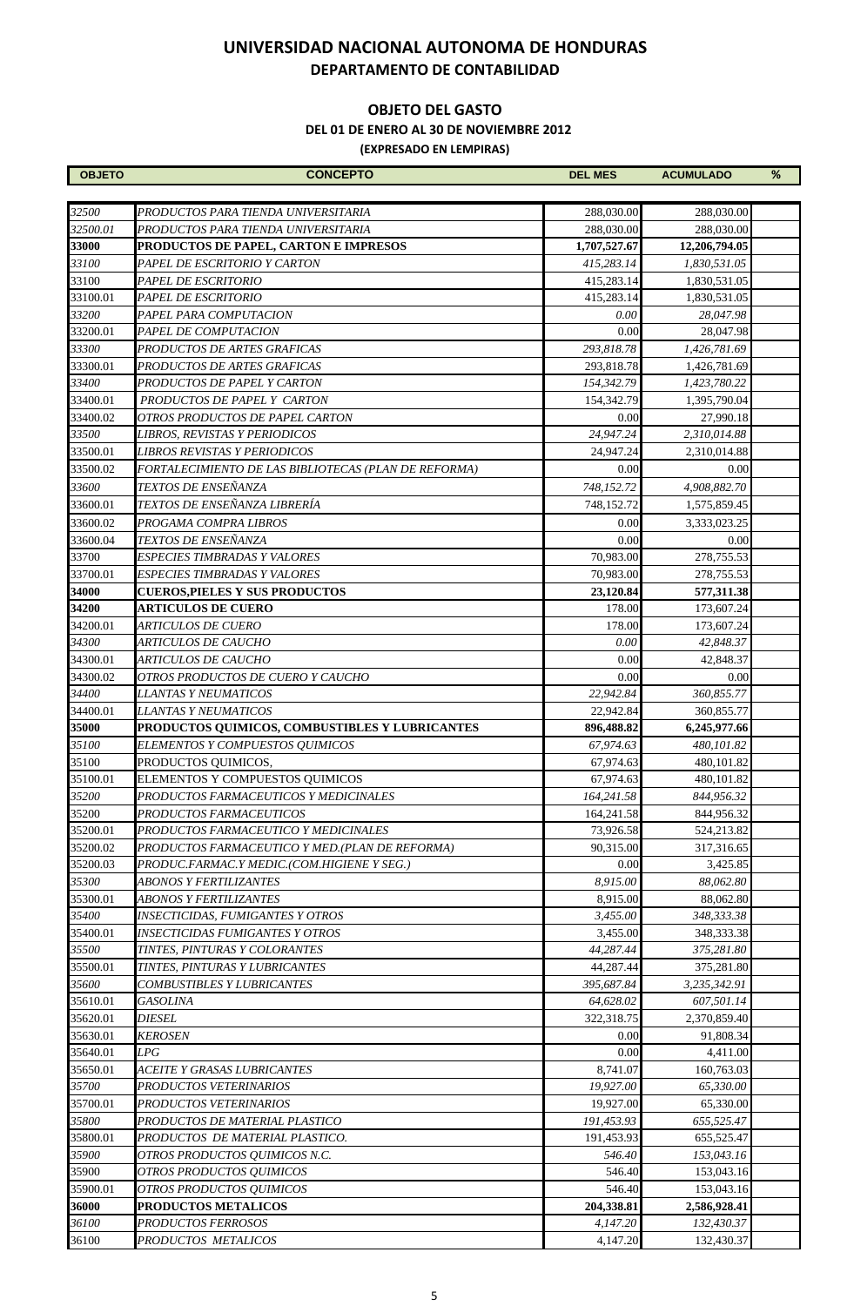#### **OBJETO DEL GASTO**

 **DEL 01 DE ENERO AL 30 DE NOVIEMBRE 2012**

| <b>OBJETO</b> | <b>CONCEPTO</b>                                      | <b>DEL MES</b> | <b>ACUMULADO</b> | % |
|---------------|------------------------------------------------------|----------------|------------------|---|
|               |                                                      |                |                  |   |
| 32500         | PRODUCTOS PARA TIENDA UNIVERSITARIA                  | 288,030.00     | 288,030.00       |   |
| 32500.01      | PRODUCTOS PARA TIENDA UNIVERSITARIA                  | 288,030.00     | 288,030.00       |   |
| 33000         | PRODUCTOS DE PAPEL, CARTON E IMPRESOS                | 1,707,527.67   | 12,206,794.05    |   |
| 33100         | PAPEL DE ESCRITORIO Y CARTON                         | 415,283.14     | 1,830,531.05     |   |
| 33100         | PAPEL DE ESCRITORIO                                  | 415,283.14     | 1,830,531.05     |   |
| 33100.01      | PAPEL DE ESCRITORIO                                  | 415,283.14     | 1,830,531.05     |   |
| 33200         | PAPEL PARA COMPUTACION                               | 0.00           | 28,047.98        |   |
| 33200.01      | PAPEL DE COMPUTACION                                 | 0.00           | 28,047.98        |   |
| 33300         | PRODUCTOS DE ARTES GRAFICAS                          | 293,818.78     | 1,426,781.69     |   |
| 33300.01      | PRODUCTOS DE ARTES GRAFICAS                          | 293,818.78     | 1,426,781.69     |   |
| 33400         | PRODUCTOS DE PAPEL Y CARTON                          | 154,342.79     | 1,423,780.22     |   |
| 33400.01      | PRODUCTOS DE PAPEL Y CARTON                          | 154,342.79     | 1,395,790.04     |   |
| 33400.02      | OTROS PRODUCTOS DE PAPEL CARTON                      | 0.00           | 27,990.18        |   |
| 33500         | LIBROS, REVISTAS Y PERIODICOS                        | 24,947.24      | 2,310,014.88     |   |
| 33500.01      | LIBROS REVISTAS Y PERIODICOS                         | 24,947.24      | 2,310,014.88     |   |
| 33500.02      | FORTALECIMIENTO DE LAS BIBLIOTECAS (PLAN DE REFORMA) | 0.00           | 0.00             |   |
| 33600         | TEXTOS DE ENSEÑANZA                                  | 748,152.72     | 4,908,882.70     |   |
| 33600.01      | TEXTOS DE ENSEÑANZA LIBRERÍA                         | 748,152.72     | 1,575,859.45     |   |
| 33600.02      | PROGAMA COMPRA LIBROS                                | 0.00           | 3,333,023.25     |   |
| 33600.04      | TEXTOS DE ENSEÑANZA                                  | 0.00           | 0.00             |   |
| 33700         | ESPECIES TIMBRADAS Y VALORES                         | 70,983.00      | 278,755.53       |   |
| 33700.01      | <b>ESPECIES TIMBRADAS Y VALORES</b>                  | 70,983.00      | 278,755.53       |   |
| 34000         | <b>CUEROS, PIELES Y SUS PRODUCTOS</b>                | 23,120.84      | 577,311.38       |   |
| 34200         | <b>ARTICULOS DE CUERO</b>                            | 178.00         | 173,607.24       |   |
| 34200.01      | <b>ARTICULOS DE CUERO</b>                            | 178.00         | 173,607.24       |   |
| 34300         | <b>ARTICULOS DE CAUCHO</b>                           | 0.00           | 42,848.37        |   |
| 34300.01      | <b>ARTICULOS DE CAUCHO</b>                           | 0.00           | 42,848.37        |   |
| 34300.02      | OTROS PRODUCTOS DE CUERO Y CAUCHO                    | 0.00           | 0.00             |   |
| 34400         | LLANTAS Y NEUMATICOS                                 | 22,942.84      | 360,855.77       |   |
| 34400.01      | <i>LLANTAS Y NEUMATICOS</i>                          | 22,942.84      | 360,855.77       |   |
| 35000         | PRODUCTOS QUIMICOS, COMBUSTIBLES Y LUBRICANTES       | 896,488.82     | 6,245,977.66     |   |
| 35100         | ELEMENTOS Y COMPUESTOS QUIMICOS                      | 67,974.63      | 480,101.82       |   |
| 35100         | PRODUCTOS QUIMICOS,                                  | 67,974.63      | 480,101.82       |   |
| 35100.01      | ELEMENTOS Y COMPUESTOS QUIMICOS                      | 67,974.63      | 480,101.82       |   |
| 35200         | PRODUCTOS FARMACEUTICOS Y MEDICINALES                | 164,241.58     | 844,956.32       |   |
| 35200         | PRODUCTOS FARMACEUTICOS                              | 164,241.58     | 844,956.32       |   |
| 35200.01      | PRODUCTOS FARMACEUTICO Y MEDICINALES                 | 73,926.58      | 524,213.82       |   |
| 35200.02      | PRODUCTOS FARMACEUTICO Y MED.(PLAN DE REFORMA)       | 90,315.00      | 317,316.65       |   |
| 35200.03      | PRODUC.FARMAC.Y MEDIC.(COM.HIGIENE Y SEG.)           | 0.00           | 3,425.85         |   |
| 35300         | <b>ABONOS Y FERTILIZANTES</b>                        | 8,915.00       | 88.062.80        |   |
| 35300.01      | <b>ABONOS Y FERTILIZANTES</b>                        | 8,915.00       | 88,062.80        |   |
| 35400         | <b>INSECTICIDAS, FUMIGANTES Y OTROS</b>              | 3,455.00       | 348,333.38       |   |
| 35400.01      | <i><b>INSECTICIDAS FUMIGANTES Y OTROS</b></i>        | 3,455.00       | 348,333.38       |   |
| 35500         | TINTES, PINTURAS Y COLORANTES                        | 44,287.44      | 375,281.80       |   |
| 35500.01      | TINTES, PINTURAS Y LUBRICANTES                       | 44,287.44      | 375,281.80       |   |
| 35600         | COMBUSTIBLES Y LUBRICANTES                           | 395,687.84     | 3,235,342.91     |   |
| 35610.01      | <b>GASOLINA</b>                                      | 64,628.02      | 607,501.14       |   |
| 35620.01      | <b>DIESEL</b>                                        | 322,318.75     | 2,370,859.40     |   |
| 35630.01      | <b>KEROSEN</b>                                       | 0.00           | 91,808.34        |   |
| 35640.01      | LPG                                                  | 0.00           | 4,411.00         |   |
| 35650.01      | ACEITE Y GRASAS LUBRICANTES                          | 8,741.07       | 160,763.03       |   |
| 35700         | PRODUCTOS VETERINARIOS                               | 19,927.00      | 65,330.00        |   |
| 35700.01      | PRODUCTOS VETERINARIOS                               | 19,927.00      | 65,330.00        |   |
| 35800         | PRODUCTOS DE MATERIAL PLASTICO                       | 191,453.93     | 655,525.47       |   |
| 35800.01      | PRODUCTOS  DE MATERIAL PLASTICO.                     | 191,453.93     | 655,525.47       |   |
| 35900         | OTROS PRODUCTOS QUIMICOS N.C.                        | 546.40         | 153,043.16       |   |
| 35900         | OTROS PRODUCTOS QUIMICOS                             | 546.40         | 153,043.16       |   |
| 35900.01      | OTROS PRODUCTOS QUIMICOS                             | 546.40         | 153,043.16       |   |
| 36000         | <b>PRODUCTOS METALICOS</b>                           | 204,338.81     | 2,586,928.41     |   |
| 36100         | PRODUCTOS FERROSOS                                   | 4,147.20       | 132,430.37       |   |
| 36100         | PRODUCTOS METALICOS                                  | 4,147.20       | 132,430.37       |   |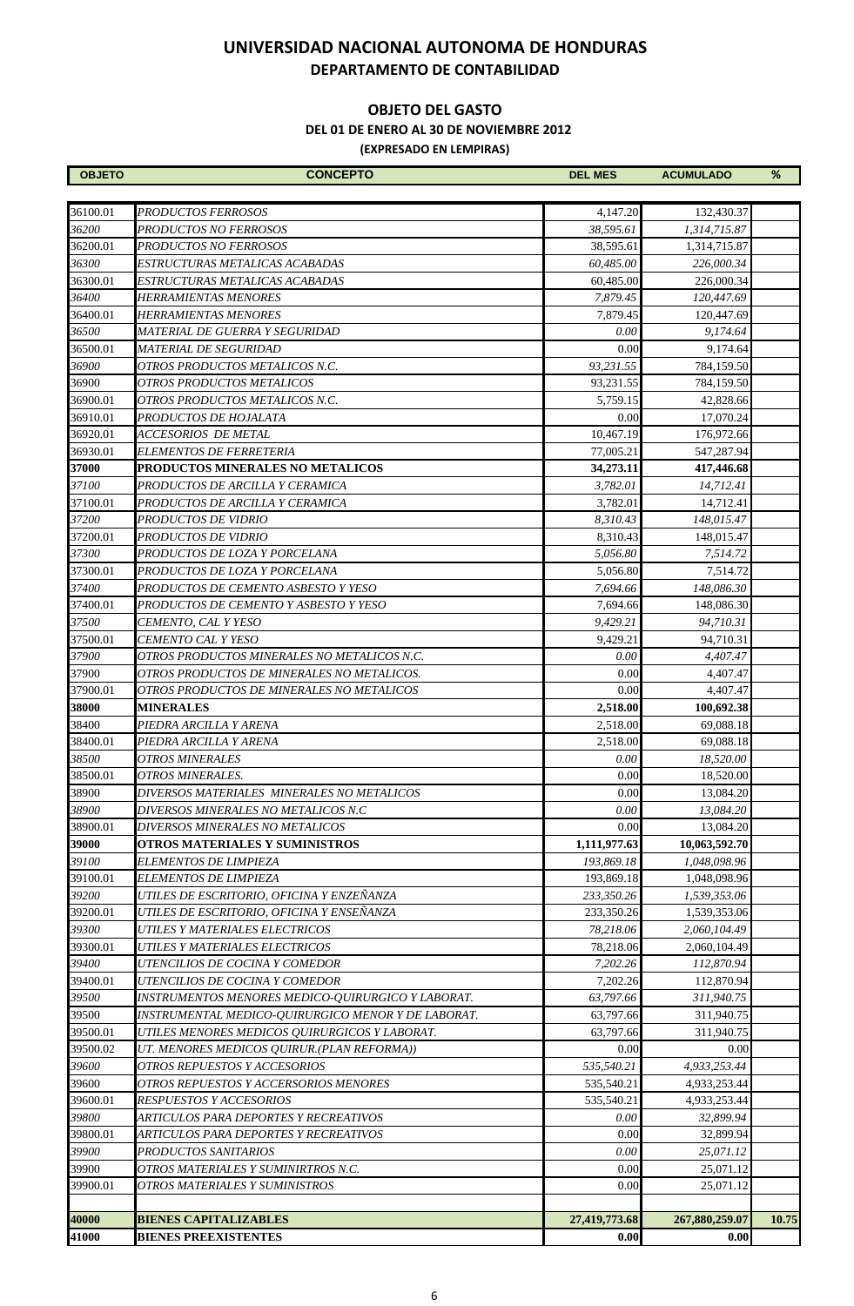#### **OBJETO DEL GASTO**

 **DEL 01 DE ENERO AL 30 DE NOVIEMBRE 2012**

| <b>OBJETO</b>     | <b>CONCEPTO</b>                                         | <b>DEL MES</b>             | <b>ACUMULADO</b>              | %     |
|-------------------|---------------------------------------------------------|----------------------------|-------------------------------|-------|
|                   |                                                         |                            |                               |       |
| 36100.01          | PRODUCTOS FERROSOS                                      | 4,147.20                   | 132,430.37                    |       |
| 36200             | PRODUCTOS NO FERROSOS                                   | 38,595.61                  | 1,314,715.87                  |       |
| 36200.01          | PRODUCTOS NO FERROSOS                                   | 38,595.61                  | 1,314,715.87                  |       |
| 36300             | ESTRUCTURAS METALICAS ACABADAS                          | 60,485.00                  | 226,000.34                    |       |
| 36300.01<br>36400 | ESTRUCTURAS METALICAS ACABADAS<br>HERRAMIENTAS MENORES  | 60,485.00<br>7,879.45      | 226,000.34<br>120,447.69      |       |
| 36400.01          | HERRAMIENTAS MENORES                                    | 7,879.45                   |                               |       |
| 36500             | MATERIAL DE GUERRA Y SEGURIDAD                          | 0.00                       | 120,447.69<br>9,174.64        |       |
| 36500.01          | <b>MATERIAL DE SEGURIDAD</b>                            | 0.00                       | 9.174.64                      |       |
| 36900             | OTROS PRODUCTOS METALICOS N.C.                          | 93,231.55                  | 784,159.50                    |       |
| 36900             | OTROS PRODUCTOS METALICOS                               | 93,231.55                  | 784,159.50                    |       |
| 36900.01          | OTROS PRODUCTOS METALICOS N.C.                          | 5,759.15                   | 42,828.66                     |       |
| 36910.01          | PRODUCTOS DE HOJALATA                                   | 0.00                       | 17,070.24                     |       |
| 36920.01          | ACCESORIOS DE METAL                                     | 10,467.19                  | 176,972.66                    |       |
| 36930.01          | ELEMENTOS DE FERRETERIA                                 | 77,005.21                  | 547,287.94                    |       |
| 37000             | PRODUCTOS MINERALES NO METALICOS                        | 34,273.11                  | 417,446.68                    |       |
| 37100             | PRODUCTOS DE ARCILLA Y CERAMICA                         | 3,782.01                   | 14,712.41                     |       |
| 37100.01          | PRODUCTOS DE ARCILLA Y CERAMICA                         | 3,782.01                   | 14,712.41                     |       |
| 37200             | PRODUCTOS DE VIDRIO                                     | 8,310.43                   | 148,015.47                    |       |
| 37200.01          | PRODUCTOS DE VIDRIO                                     | 8,310.43                   | 148,015.47                    |       |
| 37300             | PRODUCTOS DE LOZA Y PORCELANA                           | 5,056.80                   | 7,514.72                      |       |
| 37300.01          | PRODUCTOS DE LOZA Y PORCELANA                           | 5,056.80                   | 7,514.72                      |       |
| 37400             | PRODUCTOS DE CEMENTO ASBESTO Y YESO                     | 7,694.66                   | 148,086.30                    |       |
| 37400.01          | PRODUCTOS DE CEMENTO Y ASBESTO Y YESO                   | 7,694.66                   | 148,086.30                    |       |
| 37500             | CEMENTO, CAL Y YESO                                     | 9,429.21                   | 94,710.31                     |       |
| 37500.01          | CEMENTO CAL Y YESO                                      | 9,429.21                   | 94,710.31                     |       |
| 37900             | OTROS PRODUCTOS MINERALES NO METALICOS N.C.             | 0.00                       | 4,407.47                      |       |
| 37900             | OTROS PRODUCTOS DE MINERALES NO METALICOS.              | 0.00                       | 4,407.47                      |       |
| 37900.01          | OTROS PRODUCTOS DE MINERALES NO METALICOS               | 0.00                       | 4,407.47                      |       |
| 38000             | <b>MINERALES</b>                                        | 2,518.00                   | 100,692.38                    |       |
| 38400             | PIEDRA ARCILLA Y ARENA                                  | 2,518.00                   | 69,088.18                     |       |
| 38400.01          | PIEDRA ARCILLA Y ARENA                                  | 2,518.00                   | 69,088.18                     |       |
| 38500             | OTROS MINERALES                                         | 0.00                       | 18,520.00                     |       |
| 38500.01          | OTROS MINERALES.                                        | 0.00                       | 18,520.00                     |       |
| 38900             | DIVERSOS MATERIALES MINERALES NO METALICOS              | 0.00                       | 13,084.20                     |       |
| 38900             | DIVERSOS MINERALES NO METALICOS N.C                     | 0.00                       | 13,084.20                     |       |
| 38900.01          | DIVERSOS MINERALES NO METALICOS                         | 0.00                       | 13,084.20                     |       |
| 39000<br>39100    | OTROS MATERIALES Y SUMINISTROS<br>ELEMENTOS DE LIMPIEZA | 1,111,977.63<br>193,869.18 | 10,063,592.70<br>1,048,098.96 |       |
| 39100.01          | ELEMENTOS DE LIMPIEZA                                   | 193,869.18                 | 1,048,098.96                  |       |
| 39200             | UTILES DE ESCRITORIO, OFICINA Y ENZEÑANZA               | 233,350.26                 | 1,539,353.06                  |       |
| 39200.01          | UTILES DE ESCRITORIO, OFICINA Y ENSEÑANZA               | 233,350.26                 | 1,539,353.06                  |       |
| 39300             | UTILES Y MATERIALES ELECTRICOS                          | 78,218.06                  | 2,060,104.49                  |       |
| 39300.01          | UTILES Y MATERIALES ELECTRICOS                          | 78,218.06                  | 2,060,104.49                  |       |
| 39400             | UTENCILIOS DE COCINA Y COMEDOR                          | 7,202.26                   | 112,870.94                    |       |
| 39400.01          | UTENCILIOS DE COCINA Y COMEDOR                          | 7,202.26                   | 112,870.94                    |       |
| 39500             | INSTRUMENTOS MENORES MEDICO-QUIRURGICO Y LABORAT.       | 63,797.66                  | 311,940.75                    |       |
| 39500             | INSTRUMENTAL MEDICO-QUIRURGICO MENOR Y DE LABORAT.      | 63,797.66                  | 311,940.75                    |       |
| 39500.01          | UTILES MENORES MEDICOS QUIRURGICOS Y LABORAT.           | 63,797.66                  | 311,940.75                    |       |
| 39500.02          | UT. MENORES MEDICOS QUIRUR.(PLAN REFORMA))              | 0.00                       | 0.00                          |       |
| 39600             | OTROS REPUESTOS Y ACCESORIOS                            | 535,540.21                 | 4,933,253.44                  |       |
| 39600             | OTROS REPUESTOS Y ACCERSORIOS MENORES                   | 535,540.21                 | 4,933,253.44                  |       |
| 39600.01          | RESPUESTOS Y ACCESORIOS                                 | 535,540.21                 | 4,933,253.44                  |       |
| 39800             | ARTICULOS PARA DEPORTES Y RECREATIVOS                   | 0.00                       | 32,899.94                     |       |
| 39800.01          | ARTICULOS PARA DEPORTES Y RECREATIVOS                   | 0.00                       | 32,899.94                     |       |
| 39900             | PRODUCTOS SANITARIOS                                    | 0.00                       | 25,071.12                     |       |
| 39900             | OTROS MATERIALES Y SUMINIRTROS N.C.                     | 0.00                       | 25,071.12                     |       |
| 39900.01          | OTROS MATERIALES Y SUMINISTROS                          | 0.00                       | 25,071.12                     |       |
| 40000             | <b>BIENES CAPITALIZABLES</b>                            | 27,419,773.68              | 267,880,259.07                | 10.75 |
| 41000             | <b>BIENES PREEXISTENTES</b>                             | 0.00                       | 0.00                          |       |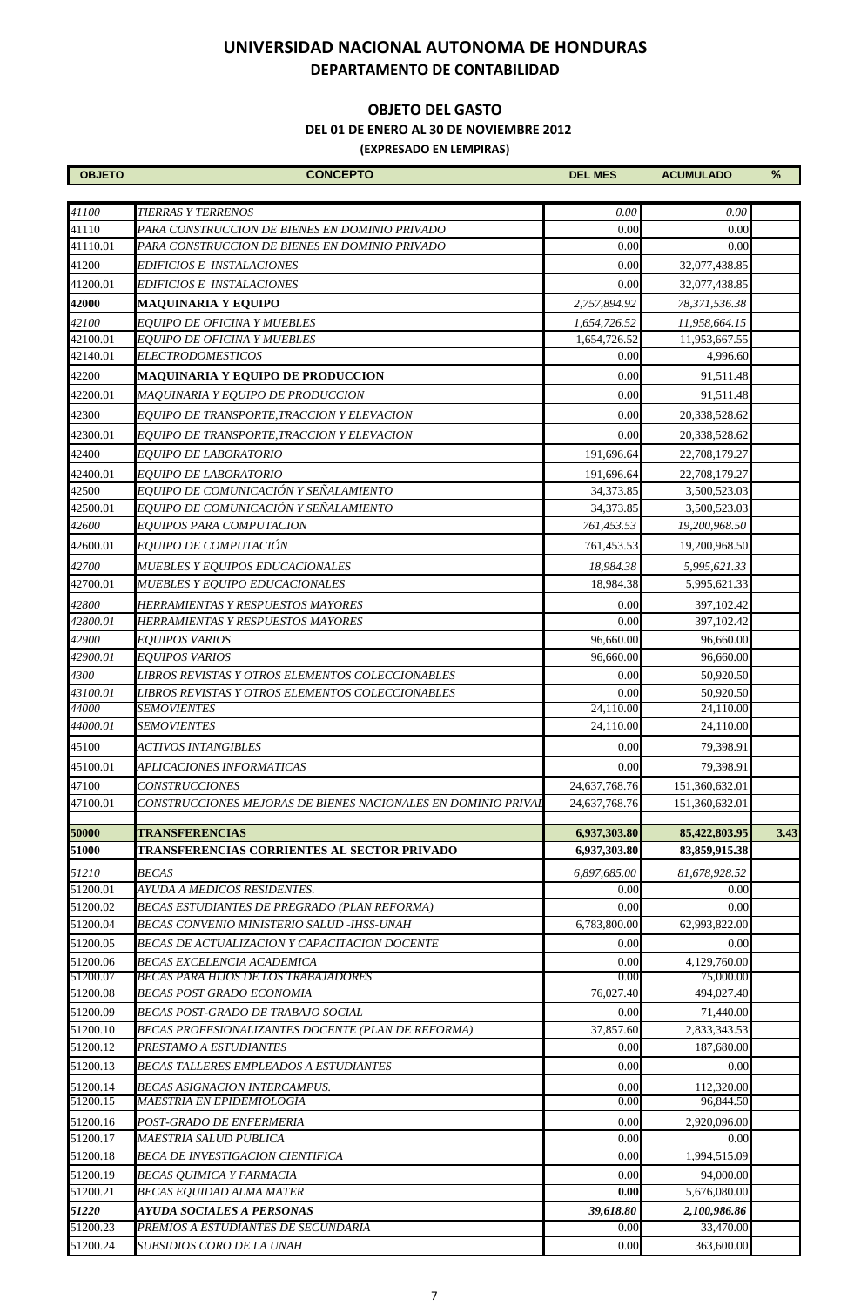#### **OBJETO DEL GASTO**

 **DEL 01 DE ENERO AL 30 DE NOVIEMBRE 2012**

| <b>OBJETO</b>        | <b>CONCEPTO</b>                                                    | <b>DEL MES</b>    | <b>ACUMULADO</b>          | %    |
|----------------------|--------------------------------------------------------------------|-------------------|---------------------------|------|
|                      |                                                                    |                   |                           |      |
| 41100                | <b>TIERRAS Y TERRENOS</b>                                          | 0.00              | 0.00                      |      |
| 41110                | PARA CONSTRUCCION DE BIENES EN DOMINIO PRIVADO                     | 0.00              | 0.00                      |      |
| 41110.01             | PARA CONSTRUCCION DE BIENES EN DOMINIO PRIVADO                     | 0.00              | 0.00                      |      |
| 41200                | EDIFICIOS E INSTALACIONES                                          | 0.00              | 32,077,438.85             |      |
| 41200.01             | EDIFICIOS E INSTALACIONES                                          | 0.00              | 32,077,438.85             |      |
| 42000                | <b>MAQUINARIA Y EQUIPO</b>                                         | 2,757,894.92      | 78,371,536.38             |      |
| 42100                | EOUIPO DE OFICINA Y MUEBLES                                        | 1,654,726.52      | 11,958,664.15             |      |
| 42100.01             | EQUIPO DE OFICINA Y MUEBLES                                        | 1,654,726.52      | 11,953,667.55             |      |
| 42140.01             | <b>ELECTRODOMESTICOS</b>                                           | 0.00              | 4,996.60                  |      |
| 42200                | <b>MAQUINARIA Y EQUIPO DE PRODUCCION</b>                           | 0.00              | 91,511.48                 |      |
| 42200.01             | MAQUINARIA Y EQUIPO DE PRODUCCION                                  | 0.00              | 91,511.48                 |      |
| 42300                | EQUIPO DE TRANSPORTE, TRACCION Y ELEVACION                         | 0.00              | 20,338,528.62             |      |
| 42300.01             | EQUIPO DE TRANSPORTE, TRACCION Y ELEVACION                         | 0.00              | 20,338,528.62             |      |
| 42400                | <b>EQUIPO DE LABORATORIO</b>                                       | 191,696.64        | 22,708,179.27             |      |
| 42400.01             | <b>EOUIPO DE LABORATORIO</b>                                       | 191,696.64        | 22,708,179.27             |      |
| 42500                | EQUIPO DE COMUNICACIÓN Y SEÑALAMIENTO                              | 34,373.85         | 3,500,523.03              |      |
| 42500.01             | EQUIPO DE COMUNICACIÓN Y SEÑALAMIENTO                              | 34,373.85         | 3,500,523.03              |      |
| 42600                | EQUIPOS PARA COMPUTACION                                           | 761,453.53        | 19,200,968.50             |      |
| 42600.01             | EQUIPO DE COMPUTACIÓN                                              | 761,453.53        | 19,200,968.50             |      |
| 42700                | <b>MUEBLES Y EQUIPOS EDUCACIONALES</b>                             | 18,984.38         | 5,995,621.33              |      |
| 42700.01             | MUEBLES Y EQUIPO EDUCACIONALES                                     | 18,984.38         | 5,995,621.33              |      |
| 42800                | HERRAMIENTAS Y RESPUESTOS MAYORES                                  | 0.00              | 397,102.42                |      |
| 42800.01             | HERRAMIENTAS Y RESPUESTOS MAYORES                                  | 0.00              | 397,102.42                |      |
| 42900                | <b>EQUIPOS VARIOS</b>                                              | 96,660.00         | 96,660.00                 |      |
| 42900.01             | <b>EQUIPOS VARIOS</b>                                              | 96,660.00         | 96,660.00                 |      |
| 4300                 | LIBROS REVISTAS Y OTROS ELEMENTOS COLECCIONABLES                   | 0.00              | 50,920.50                 |      |
| 43100.01             | LIBROS REVISTAS Y OTROS ELEMENTOS COLECCIONABLES                   | 0.00              | 50,920.50                 |      |
| 44000                | <b>SEMOVIENTES</b>                                                 | 24,110.00         | 24,110.00                 |      |
| 44000.01             | <b>SEMOVIENTES</b>                                                 | 24,110.00         | 24,110.00                 |      |
| 45100                | <b>ACTIVOS INTANGIBLES</b>                                         | 0.00              | 79,398.91                 |      |
| 45100.01             | APLICACIONES INFORMATICAS                                          | 0.00              | 79,398.91                 |      |
| 47100                | <b>CONSTRUCCIONES</b>                                              | 24,637,768.76     | 151,360,632.01            |      |
| 47100.01             | Construcciones mejoras de bienes nacionales en dominio prival      | 24,637,768.76     | 151,360,632.01            |      |
| 50000                | <b>TRANSFERENCIAS</b>                                              | 6,937,303.80      | 85,422,803.95             | 3.43 |
| 51000                | TRANSFERENCIAS CORRIENTES AL SECTOR PRIVADO                        | 6,937,303.80      | 83,859,915.38             |      |
| 51210                | <b>BECAS</b>                                                       | 6,897,685.00      | 81,678,928.52             |      |
| 51200.01             | AYUDA A MEDICOS RESIDENTES.                                        | 0.00              | 0.00                      |      |
| 51200.02             | BECAS ESTUDIANTES DE PREGRADO (PLAN REFORMA)                       | 0.00              | 0.00                      |      |
| 51200.04             | BECAS CONVENIO MINISTERIO SALUD -IHSS-UNAH                         | 6,783,800.00      | 62,993,822.00             |      |
| 51200.05             | BECAS DE ACTUALIZACION Y CAPACITACION DOCENTE                      | 0.00              | 0.00                      |      |
| 51200.06             | BECAS EXCELENCIA ACADEMICA                                         | 0.00              | 4,129,760.00              |      |
| 51200.07             | BECAS PARA HIJOS DE LOS TRABAJADORES                               | 0.00              | 75,000.00                 |      |
| 51200.08             | <b>BECAS POST GRADO ECONOMIA</b>                                   | 76,027.40         | 494,027.40                |      |
| 51200.09             | BECAS POST-GRADO DE TRABAJO SOCIAL                                 | 0.00              | 71,440.00                 |      |
| 51200.10             | BECAS PROFESIONALIZANTES DOCENTE (PLAN DE REFORMA)                 | 37,857.60         | 2,833,343.53              |      |
| 51200.12             | PRESTAMO A ESTUDIANTES                                             | 0.00              | 187,680.00                |      |
| 51200.13             | BECAS TALLERES EMPLEADOS A ESTUDIANTES                             | 0.00              | 0.00                      |      |
| 51200.14             | BECAS ASIGNACION INTERCAMPUS.                                      | 0.00              | 112,320.00                |      |
| 51200.15             | MAESTRIA EN EPIDEMIOLOGÍA                                          | 0.00              | 96,844.50                 |      |
| 51200.16             | POST-GRADO DE ENFERMERIA                                           | 0.00              | 2,920,096.00              |      |
| 51200.17             | MAESTRIA SALUD PUBLICA                                             | 0.00              | 0.00                      |      |
| 51200.18             | BECA DE INVESTIGACION CIENTIFICA                                   | 0.00              | 1,994,515.09              |      |
| 51200.19<br>51200.21 | <b>BECAS OUIMICA Y FARMACIA</b><br><b>BECAS EQUIDAD ALMA MATER</b> | 0.00<br>0.00      | 94,000.00<br>5,676,080.00 |      |
|                      |                                                                    |                   |                           |      |
| 51220<br>51200.23    | AYUDA SOCIALES A PERSONAS<br>PREMIOS A ESTUDIANTES DE SECUNDARIA   | 39,618.80<br>0.00 | 2,100,986.86<br>33,470.00 |      |
| 51200.24             | SUBSIDIOS CORO DE LA UNAH                                          | 0.00              | 363,600.00                |      |
|                      |                                                                    |                   |                           |      |